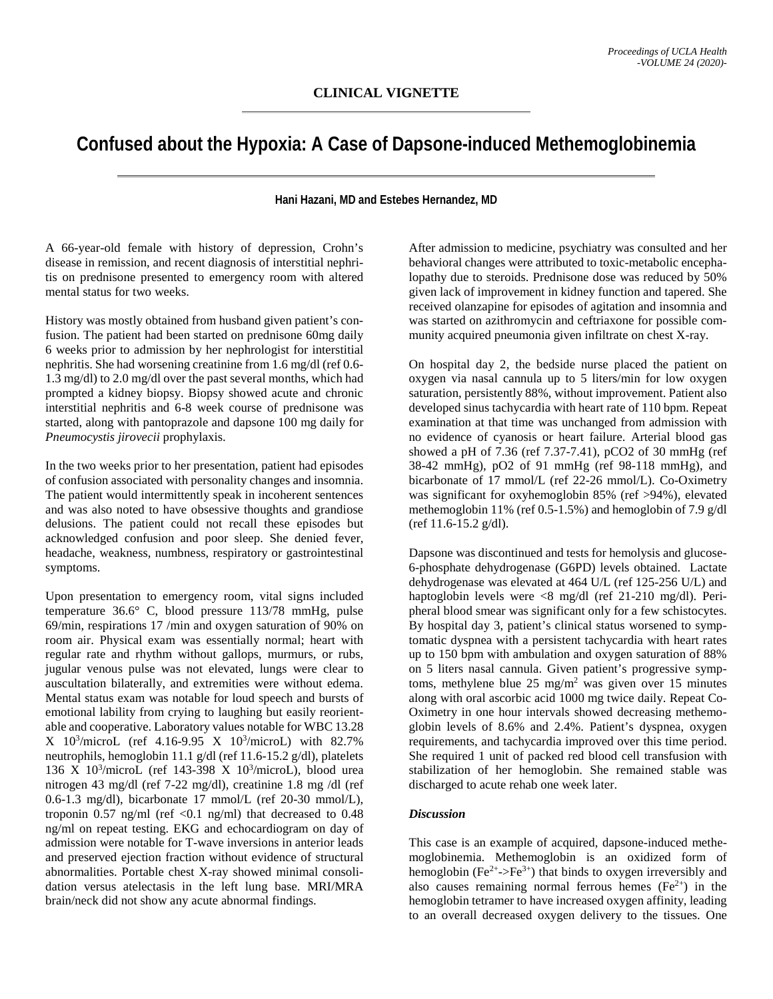## **Confused about the Hypoxia: A Case of Dapsone-induced Methemoglobinemia**

## **Hani Hazani, MD and Estebes Hernandez, MD**

A 66-year-old female with history of depression, Crohn's disease in remission, and recent diagnosis of interstitial nephritis on prednisone presented to emergency room with altered mental status for two weeks.

History was mostly obtained from husband given patient's confusion. The patient had been started on prednisone 60mg daily 6 weeks prior to admission by her nephrologist for interstitial nephritis. She had worsening creatinine from 1.6 mg/dl (ref 0.6- 1.3 mg/dl) to 2.0 mg/dl over the past several months, which had prompted a kidney biopsy. Biopsy showed acute and chronic interstitial nephritis and 6-8 week course of prednisone was started, along with pantoprazole and dapsone 100 mg daily for *Pneumocystis jirovecii* prophylaxis.

In the two weeks prior to her presentation, patient had episodes of confusion associated with personality changes and insomnia. The patient would intermittently speak in incoherent sentences and was also noted to have obsessive thoughts and grandiose delusions. The patient could not recall these episodes but acknowledged confusion and poor sleep. She denied fever, headache, weakness, numbness, respiratory or gastrointestinal symptoms.

Upon presentation to emergency room, vital signs included temperature 36.6° C, blood pressure 113/78 mmHg, pulse 69/min, respirations 17 /min and oxygen saturation of 90% on room air. Physical exam was essentially normal; heart with regular rate and rhythm without gallops, murmurs, or rubs, jugular venous pulse was not elevated, lungs were clear to auscultation bilaterally, and extremities were without edema. Mental status exam was notable for loud speech and bursts of emotional lability from crying to laughing but easily reorientable and cooperative. Laboratory values notable for WBC 13.28 X 103 /microL (ref 4.16-9.95 X 103 /microL) with 82.7% neutrophils, hemoglobin 11.1 g/dl (ref 11.6-15.2 g/dl), platelets 136 X 103 /microL (ref 143-398 X 103 /microL), blood urea nitrogen 43 mg/dl (ref 7-22 mg/dl), creatinine 1.8 mg /dl (ref 0.6-1.3 mg/dl), bicarbonate 17 mmol/L (ref 20-30 mmol/L), troponin 0.57 ng/ml (ref <0.1 ng/ml) that decreased to  $0.48$ ng/ml on repeat testing. EKG and echocardiogram on day of admission were notable for T-wave inversions in anterior leads and preserved ejection fraction without evidence of structural abnormalities. Portable chest X-ray showed minimal consolidation versus atelectasis in the left lung base. MRI/MRA brain/neck did not show any acute abnormal findings.

After admission to medicine, psychiatry was consulted and her behavioral changes were attributed to toxic-metabolic encephalopathy due to steroids. Prednisone dose was reduced by 50% given lack of improvement in kidney function and tapered. She received olanzapine for episodes of agitation and insomnia and was started on azithromycin and ceftriaxone for possible community acquired pneumonia given infiltrate on chest X-ray.

On hospital day 2, the bedside nurse placed the patient on oxygen via nasal cannula up to 5 liters/min for low oxygen saturation, persistently 88%, without improvement. Patient also developed sinus tachycardia with heart rate of 110 bpm. Repeat examination at that time was unchanged from admission with no evidence of cyanosis or heart failure. Arterial blood gas showed a pH of 7.36 (ref 7.37-7.41), pCO2 of 30 mmHg (ref 38-42 mmHg), pO2 of 91 mmHg (ref 98-118 mmHg), and bicarbonate of 17 mmol/L (ref 22-26 mmol/L). Co-Oximetry was significant for oxyhemoglobin 85% (ref >94%), elevated methemoglobin 11% (ref 0.5-1.5%) and hemoglobin of 7.9 g/dl (ref 11.6-15.2 g/dl).

Dapsone was discontinued and tests for hemolysis and glucose-6-phosphate dehydrogenase (G6PD) levels obtained. Lactate dehydrogenase was elevated at 464 U/L (ref 125-256 U/L) and haptoglobin levels were <8 mg/dl (ref 21-210 mg/dl). Peripheral blood smear was significant only for a few schistocytes. By hospital day 3, patient's clinical status worsened to symptomatic dyspnea with a persistent tachycardia with heart rates up to 150 bpm with ambulation and oxygen saturation of 88% on 5 liters nasal cannula. Given patient's progressive symptoms, methylene blue  $25 \text{ mg/m}^2$  was given over 15 minutes along with oral ascorbic acid 1000 mg twice daily. Repeat Co-Oximetry in one hour intervals showed decreasing methemoglobin levels of 8.6% and 2.4%. Patient's dyspnea, oxygen requirements, and tachycardia improved over this time period. She required 1 unit of packed red blood cell transfusion with stabilization of her hemoglobin. She remained stable was discharged to acute rehab one week later.

## *Discussion*

This case is an example of acquired, dapsone-induced methemoglobinemia. Methemoglobin is an oxidized form of hemoglobin (Fe<sup>2+</sup>->Fe<sup>3+</sup>) that binds to oxygen irreversibly and also causes remaining normal ferrous hemes  $(Fe^{2+})$  in the hemoglobin tetramer to have increased oxygen affinity, leading to an overall decreased oxygen delivery to the tissues. One